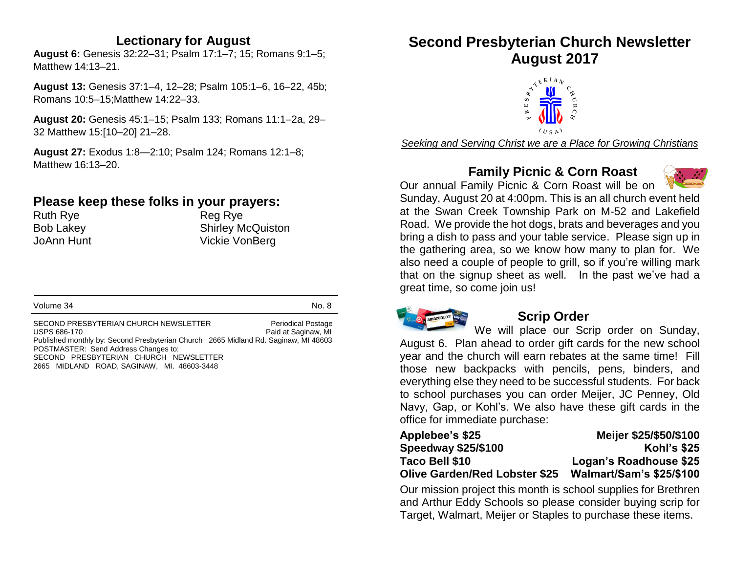#### **Lectionary for August**

**August 6:** Genesis 32:22–31; Psalm 17:1–7; 15; Romans 9:1–5; Matthew 14:13–21.

**August 13:** Genesis 37:1–4, 12–28; Psalm 105:1–6, 16–22, 45b; Romans 10:5–15;Matthew 14:22–33.

**August 20:** Genesis 45:1–15; Psalm 133; Romans 11:1–2a, 29– 32 Matthew 15:[10–20] 21–28.

**August 27:** Exodus 1:8—2:10; Psalm 124; Romans 12:1–8; Matthew 16:13–20.

## **Please keep these folks in your prayers:**

Ruth Rye **Reg Rye** Reg Rye

Bob Lakey Shirley McQuiston JoAnn Hunt Vickie VonBerg

Volume 34 No. 8

SECOND PRESBYTERIAN CHURCH NEWSLETTER Periodical Postage USPS 686-170 **Paid at Saginaw, MI** Published monthly by: Second Presbyterian Church 2665 Midland Rd. Saginaw, MI 48603 POSTMASTER: Send Address Changes to: SECOND PRESBYTERIAN CHURCH NEWSLETTER 2665 MIDLAND ROAD, SAGINAW, MI. 48603-3448

## **Second Presbyterian Church Newsletter August 2017**



*Seeking and Serving Christ we are a Place for Growing Christians*

## **Family Picnic & Corn Roast**



Our annual Family Picnic & Corn Roast will be on Sunday, August 20 at 4:00pm. This is an all church event held at the Swan Creek Township Park on M-52 and Lakefield Road. We provide the hot dogs, brats and beverages and you bring a dish to pass and your table service. Please sign up in the gathering area, so we know how many to plan for. We also need a couple of people to grill, so if you're willing mark that on the signup sheet as well. In the past we've had a great time, so come join us!



#### **Scrip Order**

We will place our Scrip order on Sunday, August 6. Plan ahead to order gift cards for the new school year and the church will earn rebates at the same time! Fill those new backpacks with pencils, pens, binders, and everything else they need to be successful students. For back to school purchases you can order Meijer, JC Penney, Old Navy, Gap, or Kohl's. We also have these gift cards in the office for immediate purchase:

| Applebee's \$25                      | Meijer \$25/\$50/\$100          |
|--------------------------------------|---------------------------------|
| <b>Speedway \$25/\$100</b>           | <b>Kohl's \$25</b>              |
| Taco Bell \$10                       | Logan's Roadhouse \$25          |
| <b>Olive Garden/Red Lobster \$25</b> | <b>Walmart/Sam's \$25/\$100</b> |

Our mission project this month is school supplies for Brethren and Arthur Eddy Schools so please consider buying scrip for Target, Walmart, Meijer or Staples to purchase these items.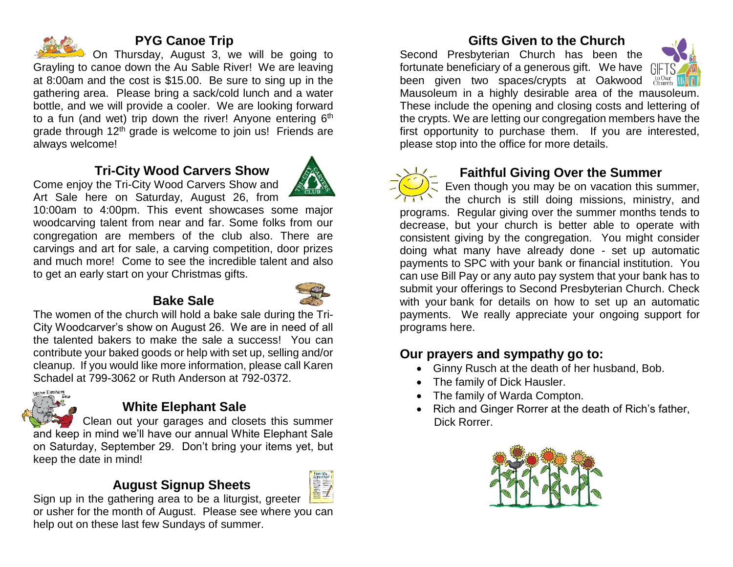

#### **PYG Canoe Trip**

On Thursday, August 3, we will be going to Grayling to canoe down the Au Sable River! We are leaving at 8:00am and the cost is \$15.00. Be sure to sing up in the gathering area. Please bring a sack/cold lunch and a water bottle, and we will provide a cooler. We are looking forward to a fun (and wet) trip down the river! Anyone entering  $6<sup>th</sup>$ grade through 12<sup>th</sup> grade is welcome to join us! Friends are always welcome!

## **Tri-City Wood Carvers Show**



Come enjoy the Tri-City Wood Carvers Show and Art Sale here on Saturday, August 26, from

10:00am to 4:00pm. This event showcases some major woodcarving talent from near and far. Some folks from our congregation are members of the club also. There are carvings and art for sale, a carving competition, door prizes and much more! Come to see the incredible talent and also to get an early start on your Christmas gifts.

## **Bake Sale**



The women of the church will hold a bake sale during the Tri-City Woodcarver's show on August 26. We are in need of all the talented bakers to make the sale a success! You can contribute your baked goods or help with set up, selling and/or cleanup. If you would like more information, please call Karen Schadel at 799-3062 or Ruth Anderson at 792-0372.



## **White Elephant Sale**

Clean out your garages and closets this summer and keep in mind we'll have our annual White Elephant Sale on Saturday, September 29. Don't bring your items yet, but keep the date in mind!

## **August Signup Sheets**



Sign up in the gathering area to be a liturgist, greeter or usher for the month of August. Please see where you can help out on these last few Sundays of summer.

## **Gifts Given to the Church**

Second Presbyterian Church has been the fortunate beneficiary of a generous gift. We have GIFTS been given two spaces/crypts at Oakwood Church Mausoleum in a highly desirable area of the mausoleum. These include the opening and closing costs and lettering of the crypts. We are letting our congregation members have the first opportunity to purchase them. If you are interested, please stop into the office for more details.



#### **Faithful Giving Over the Summer**

Even though you may be on vacation this summer, the church is still doing missions, ministry, and programs. Regular giving over the summer months tends to decrease, but your church is better able to operate with consistent giving by the congregation. You might consider doing what many have already done - set up automatic payments to SPC with your bank or financial institution. You can use Bill Pay or any auto pay system that your bank has to submit your offerings to Second Presbyterian Church. Check with your bank for details on how to set up an automatic payments. We really appreciate your ongoing support for programs here.

## **Our prayers and sympathy go to:**

- Ginny Rusch at the death of her husband, Bob.
- The family of Dick Hausler.
- The family of Warda Compton.
- Rich and Ginger Rorrer at the death of Rich's father, Dick Rorrer.



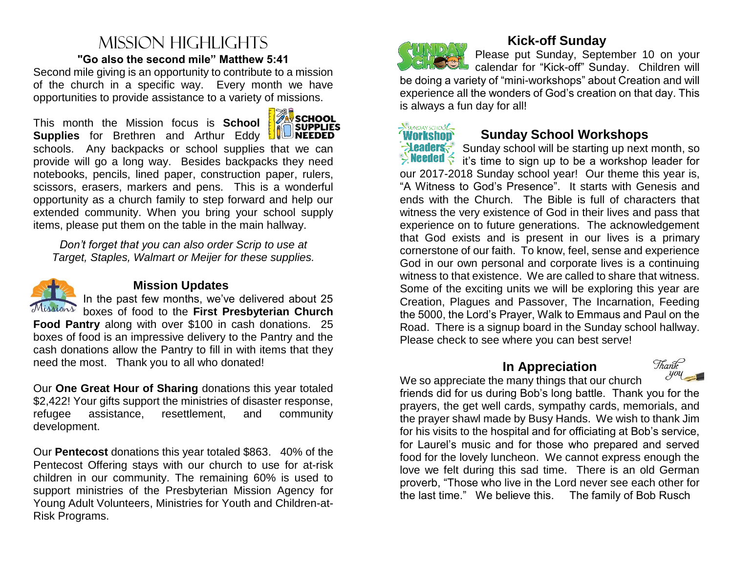## Mission highlights **"Go also the second mile" Matthew 5:41**

Second mile giving is an opportunity to contribute to a mission of the church in a specific way. Every month we have opportunities to provide assistance to a variety of missions.

This month the Mission focus is **School Supplies** for Brethren and Arthur Eddy schools. Any backpacks or school supplies that we can provide will go a long way. Besides backpacks they need notebooks, pencils, lined paper, construction paper, rulers, scissors, erasers, markers and pens. This is a wonderful opportunity as a church family to step forward and help our extended community. When you bring your school supply items, please put them on the table in the main hallway. İ

*Don't forget that you can also order Scrip to use at Target, Staples, Walmart or Meijer for these supplies.*



#### **Mission Updates**

In the past few months, we've delivered about 25 boxes of food to the **First Presbyterian Church** 

**Food Pantry** along with over \$100 in cash donations. 25 boxes of food is an impressive delivery to the Pantry and the cash donations allow the Pantry to fill in with items that they need the most. Thank you to all who donated!

Our **One Great Hour of Sharing** donations this year totaled \$2,422! Your gifts support the ministries of disaster response, refugee assistance, resettlement, and community development.

Our **Pentecost** donations this year totaled \$863. 40% of the Pentecost Offering stays with our church to use for at-risk children in our community. The remaining 60% is used to support ministries of the Presbyterian Mission Agency for [Young Adult Volunteers,](http://www.presbyterianmission.org/ministries/yav/) [Ministries for Youth](http://www.presbyterianmission.org/ministries/youthministry/) and [Children-at-](http://www.presbyterianmission.org/ministries/child/)[Risk](http://www.presbyterianmission.org/ministries/child/) Programs.



## **Kick-off Sunday**

Please put Sunday, September 10 on your calendar for "Kick-off" Sunday. Children will be doing a variety of "mini-workshops" about Creation and will experience all the wonders of God's creation on that day. This is always a fun day for all!



#### **Sunday School Workshops**

**EXECUTE:** Sunday school will be starting up next month, so **Example 1** it's time to sign up to be a workshop leader for our 2017-2018 Sunday school year! Our theme this year is, "A Witness to God's Presence". It starts with Genesis and ends with the Church. The Bible is full of characters that witness the very existence of God in their lives and pass that experience on to future generations. The acknowledgement that God exists and is present in our lives is a primary cornerstone of our faith. To know, feel, sense and experience God in our own personal and corporate lives is a continuing witness to that existence. We are called to share that witness. Some of the exciting units we will be exploring this year are Creation, Plagues and Passover, The Incarnation, Feeding the 5000, the Lord's Prayer, Walk to Emmaus and Paul on the Road. There is a signup board in the Sunday school hallway. Please check to see where you can best serve!

#### **In Appreciation**

Thank  $-yoy =$ 

We so appreciate the many things that our church friends did for us during Bob's long battle. Thank you for the prayers, the get well cards, sympathy cards, memorials, and the prayer shawl made by Busy Hands. We wish to thank Jim for his visits to the hospital and for officiating at Bob's service, for Laurel's music and for those who prepared and served food for the lovely luncheon. We cannot express enough the love we felt during this sad time. There is an old German proverb, "Those who live in the Lord never see each other for the last time." We believe this. The family of Bob Rusch